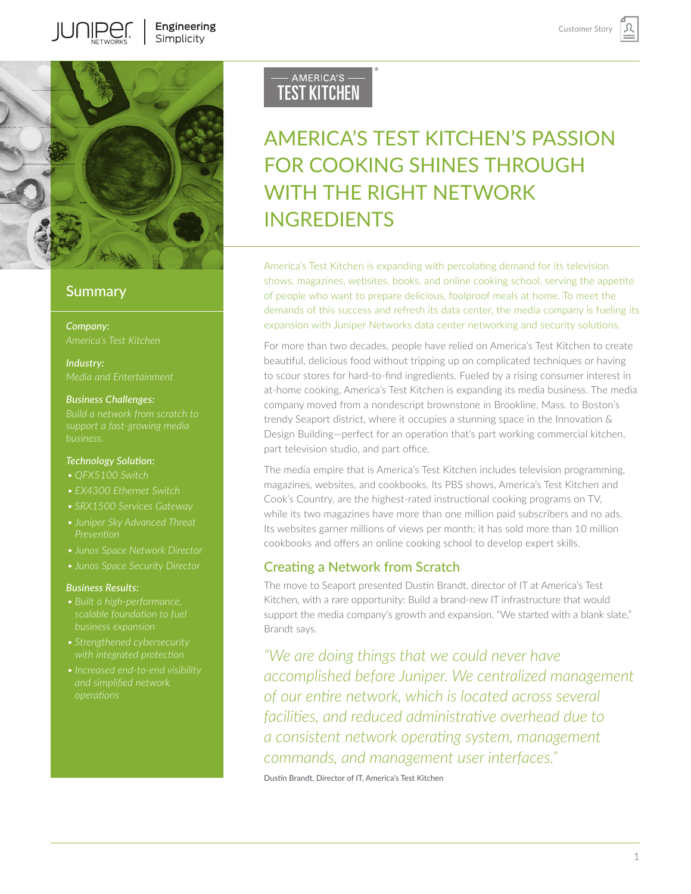

#### **Summary**

*Company:*

*Industry: Media and Entertainment*

#### *Business Challenges:*

#### *Technology Solution:*

- 
- 
- *• SRX1500 Services Gateway*
- *• Juniper Sky Advanced Threat*
- *• Junos Space Network Director*
- *• Junos Space Security Director*

#### *Business Results:*

- 
- 
- 

# - AMERICA'S -**TEST KITCHEN**

# AMERICA'S TEST KITCHEN'S PASSION FOR COOKING SHINES THROUGH WITH THE RIGHT NETWORK INGREDIENTS

America's Test Kitchen is expanding with percolating demand for its television shows, magazines, websites, books, and online cooking school, serving the appetite of people who want to prepare delicious, foolproof meals at home. To meet the demands of this success and refresh its data center, the media company is fueling its expansion with Juniper Networks data center networking and security solutions.

For more than two decades, people have relied on America's Test Kitchen to create beautiful, delicious food without tripping up on complicated techniques or having to scour stores for hard-to-find ingredients. Fueled by a rising consumer interest in at-home cooking, America's Test Kitchen is expanding its media business. The media company moved from a nondescript brownstone in Brookline, Mass. to Boston's trendy Seaport district, where it occupies a stunning space in the Innovation & Design Building—perfect for an operation that's part working commercial kitchen, part television studio, and part office.

The media empire that is America's Test Kitchen includes television programming, magazines, websites, and cookbooks. Its PBS shows, America's Test Kitchen and Cook's Country, are the highest-rated instructional cooking programs on TV, while its two magazines have more than one million paid subscribers and no ads. Its websites garner millions of views per month; it has sold more than 10 million cookbooks and offers an online cooking school to develop expert skills.

# Creating a Network from Scratch

The move to Seaport presented Dustin Brandt, director of IT at America's Test Kitchen, with a rare opportunity: Build a brand-new IT infrastructure that would support the media company's growth and expansion. "We started with a blank slate," Brandt says.

*"We are doing things that we could never have accomplished before Juniper. We centralized management of our entire network, which is located across several facilities, and reduced administrative overhead due to a consistent network operating system, management commands, and management user interfaces."* 

Dustin Brandt, Director of IT, America's Test Kitchen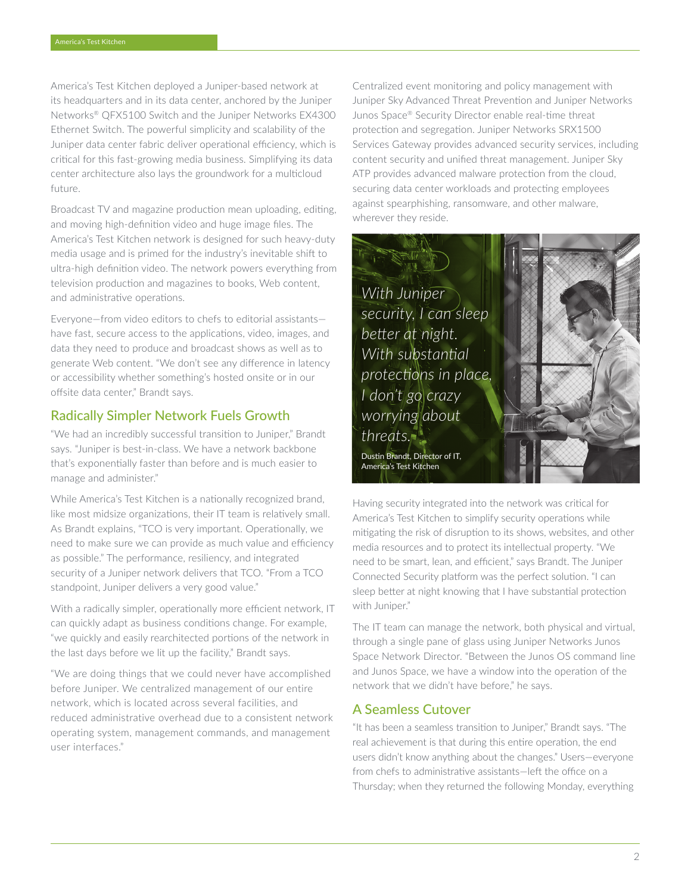America's Test Kitchen deployed a Juniper-based network at its headquarters and in its data center, anchored by the Juniper Networks® QFX5100 Switch and the Juniper Networks EX4300 Ethernet Switch. The powerful simplicity and scalability of the Juniper data center fabric deliver operational efficiency, which is critical for this fast-growing media business. Simplifying its data center architecture also lays the groundwork for a multicloud future.

Broadcast TV and magazine production mean uploading, editing, and moving high-definition video and huge image files. The America's Test Kitchen network is designed for such heavy-duty media usage and is primed for the industry's inevitable shift to ultra-high definition video. The network powers everything from television production and magazines to books, Web content, and administrative operations.

Everyone—from video editors to chefs to editorial assistants have fast, secure access to the applications, video, images, and data they need to produce and broadcast shows as well as to generate Web content. "We don't see any difference in latency or accessibility whether something's hosted onsite or in our offsite data center," Brandt says.

## Radically Simpler Network Fuels Growth

"We had an incredibly successful transition to Juniper," Brandt says. "Juniper is best-in-class. We have a network backbone that's exponentially faster than before and is much easier to manage and administer."

While America's Test Kitchen is a nationally recognized brand, like most midsize organizations, their IT team is relatively small. As Brandt explains, "TCO is very important. Operationally, we need to make sure we can provide as much value and efficiency as possible." The performance, resiliency, and integrated security of a Juniper network delivers that TCO. "From a TCO standpoint, Juniper delivers a very good value."

With a radically simpler, operationally more efficient network, IT can quickly adapt as business conditions change. For example, "we quickly and easily rearchitected portions of the network in the last days before we lit up the facility," Brandt says.

"We are doing things that we could never have accomplished before Juniper. We centralized management of our entire network, which is located across several facilities, and reduced administrative overhead due to a consistent network operating system, management commands, and management user interfaces."

Centralized event monitoring and policy management with Juniper Sky Advanced Threat Prevention and Juniper Networks Junos Space® Security Director enable real-time threat protection and segregation. Juniper Networks SRX1500 Services Gateway provides advanced security services, including content security and unified threat management. Juniper Sky ATP provides advanced malware protection from the cloud, securing data center workloads and protecting employees against spearphishing, ransomware, and other malware, wherever they reside.



Having security integrated into the network was critical for America's Test Kitchen to simplify security operations while mitigating the risk of disruption to its shows, websites, and other media resources and to protect its intellectual property. "We need to be smart, lean, and efficient," says Brandt. The Juniper Connected Security platform was the perfect solution. "I can sleep better at night knowing that I have substantial protection with Juniper."

The IT team can manage the network, both physical and virtual, through a single pane of glass using Juniper Networks Junos Space Network Director. "Between the Junos OS command line and Junos Space, we have a window into the operation of the network that we didn't have before," he says.

## A Seamless Cutover

"It has been a seamless transition to Juniper," Brandt says. "The real achievement is that during this entire operation, the end users didn't know anything about the changes." Users—everyone from chefs to administrative assistants—left the office on a Thursday; when they returned the following Monday, everything